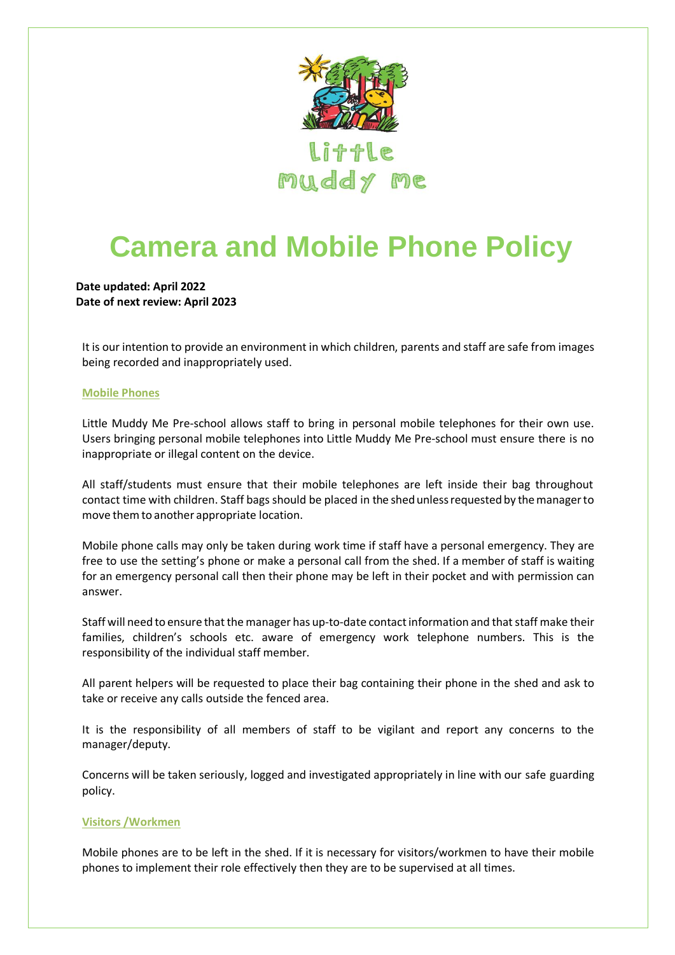

# **Camera and Mobile Phone Policy**

**Date updated: April 2022 Date of next review: April 2023**

It is our intention to provide an environment in which children, parents and staff are safe from images being recorded and inappropriately used.

### **Mobile Phones**

Little Muddy Me Pre-school allows staff to bring in personal mobile telephones for their own use. Users bringing personal mobile telephones into Little Muddy Me Pre-school must ensure there is no inappropriate or illegal content on the device.

All staff/students must ensure that their mobile telephones are left inside their bag throughout contact time with children. Staff bags should be placed in the shed unless requested by the manager to move themto another appropriate location.

Mobile phone calls may only be taken during work time if staff have a personal emergency. They are free to use the setting's phone or make a personal call from the shed. If a member of staff is waiting for an emergency personal call then their phone may be left in their pocket and with permission can answer.

Staff will need to ensure that the manager has up-to-date contact information and that staff make their families, children's schools etc. aware of emergency work telephone numbers. This is the responsibility of the individual staff member.

All parent helpers will be requested to place their bag containing their phone in the shed and ask to take or receive any calls outside the fenced area.

It is the responsibility of all members of staff to be vigilant and report any concerns to the manager/deputy.

Concerns will be taken seriously, logged and investigated appropriately in line with our safe guarding policy.

# **Visitors /Workmen**

Mobile phones are to be left in the shed. If it is necessary for visitors/workmen to have their mobile phones to implement their role effectively then they are to be supervised at all times.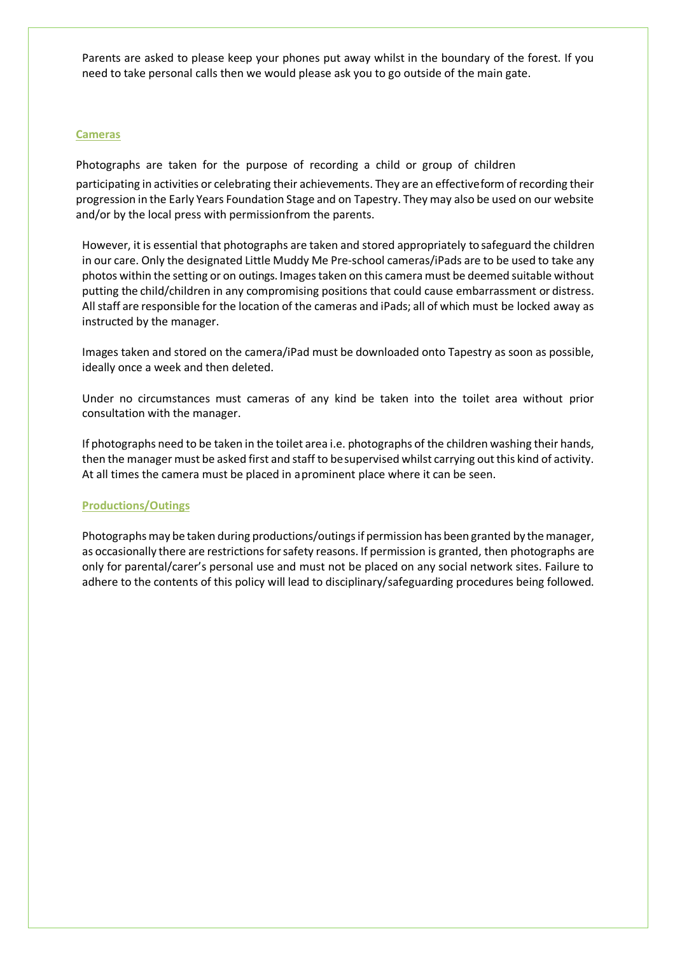Parents are asked to please keep your phones put away whilst in the boundary of the forest. If you need to take personal calls then we would please ask you to go outside of the main gate.

### **Cameras**

Photographs are taken for the purpose of recording a child or group of children participating in activities or celebrating their achievements. They are an effectiveform of recording their progression in the Early Years Foundation Stage and on Tapestry. They may also be used on our website and/or by the local press with permissionfrom the parents.

However, it is essential that photographs are taken and stored appropriately to safeguard the children in our care. Only the designated Little Muddy Me Pre-school cameras/iPads are to be used to take any photos within the setting or on outings. Images taken on this camera must be deemed suitable without putting the child/children in any compromising positions that could cause embarrassment or distress. Allstaff are responsible for the location of the cameras and iPads; all of which must be locked away as instructed by the manager.

Images taken and stored on the camera/iPad must be downloaded onto Tapestry as soon as possible, ideally once a week and then deleted.

Under no circumstances must cameras of any kind be taken into the toilet area without prior consultation with the manager.

If photographs need to be taken in the toilet area i.e. photographs of the children washing their hands, then the manager must be asked first and staff to besupervised whilst carrying out this kind of activity. At all times the camera must be placed in a prominent place where it can be seen.

# **Productions/Outings**

Photographs may be taken during productions/outings if permission has been granted by the manager, as occasionally there are restrictions for safety reasons. If permission is granted, then photographs are only for parental/carer's personal use and must not be placed on any social network sites. Failure to adhere to the contents of this policy will lead to disciplinary/safeguarding procedures being followed.